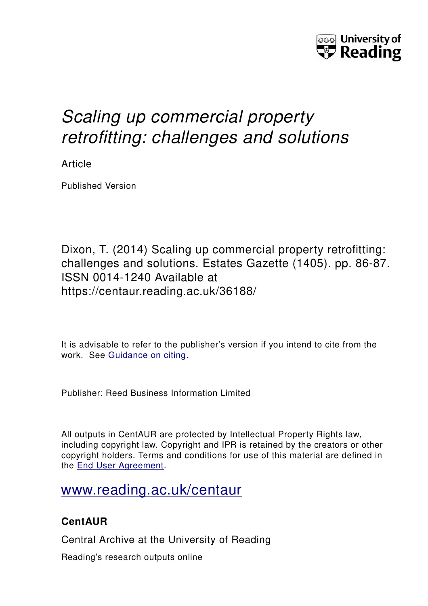

## *Scaling up commercial property retrofitting: challenges and solutions*

Article

Published Version

Dixon, T. (2014) Scaling up commercial property retrofitting: challenges and solutions. Estates Gazette (1405). pp. 86-87. ISSN 0014-1240 Available at https://centaur.reading.ac.uk/36188/

It is advisable to refer to the publisher's version if you intend to cite from the work. See [Guidance on citing.](http://centaur.reading.ac.uk/71187/10/CentAUR%20citing%20guide.pdf)

Publisher: Reed Business Information Limited

All outputs in CentAUR are protected by Intellectual Property Rights law, including copyright law. Copyright and IPR is retained by the creators or other copyright holders. Terms and conditions for use of this material are defined in the [End User Agreement.](http://centaur.reading.ac.uk/licence)

## [www.reading.ac.uk/centaur](http://www.reading.ac.uk/centaur)

### **CentAUR**

Central Archive at the University of Reading

Reading's research outputs online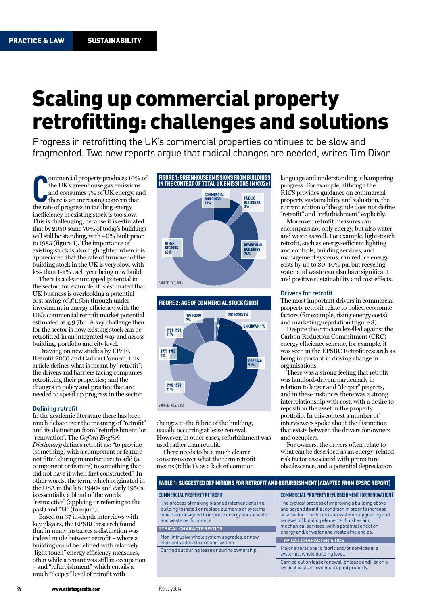# Scaling up commercial property retrofitting: challenges and solutions

Progress in retrofitting the UK's commercial properties continues to be slow and fragmented. Two new reports argue that radical changes are needed, writes Tim Dixon

**C**the UK's greenhouse gas emissic<br>
and consumes 7% of UK energy,<br>
there is an increasing concern th<br>
the rate of progress in tackling energy ommercial property produces 10% of the UK's greenhouse gas emissions and consumes 7% of UK energy, and there is an increasing concern that inefficiency in existing stock is too slow. This is challenging, because it is estimated that by 2050 some 70% of today's buildings will still be standing, with 40% built prior to 1985 (figure 1). The importance of existing stock is also highlighted when it is appreciated that the rate of turnover of the building stock in the UK is very slow, with less than 1-2% each year being new build.

There is a clear untapped potential in the sector: for example, it is estimated that UK business is overlooking a potential cost saving of  $\text{\textsterling}1.6$ bn through underinvestment in energy efficiency, with the UK's commercial retrofit market potential estimated at  $\text{\pounds}9.7$ bn. A key challenge then for the sector is how existing stock can be retrofitted in an integrated way and across building, portfolio and city level.

Drawing on new studies by EPSRC Retrofit 2050 and Carbon Connect, this article defines what is meant by "retrofit"; the drivers and barriers facing companies retrofitting their properties; and the changes in policy and practice that are needed to speed up progress in the sector.

#### **Defining retrofit**

In the academic literature there has been much debate over the meaning of "retrofit" and its distinction from "refurbishment" or "renovation". The *Oxford English Dictionary* defines retrofit as: "to provide (something) with a component or feature not fitted during manufacture; to add (a component or feature) to something that did not have it when first constructed". In other words, the term, which originated in the USA in the late 1940s and early 1950s, is essentially a blend of the words "retroactive" (applying or referring to the past) and "fit" (to equip).

Based on 37 in-depth interviews with key players, the EPSRC research found that in many instances a distinction was indeed made between retrofit – where a building could be refitted with relatively "light touch" energy efficiency measures, often while a tenant was still in occupation – and "refurbishment", which entails a much "deeper" level of retrofit with





changes to the fabric of the building, usually occurring at lease renewal. However, in other cases, refurbishment was used rather than retrofit.

There needs to be a much clearer consensus over what the term retrofit means (table 1), as a lack of common

language and understanding is hampering progress. For example, although the RICS provides guidance on commercial property sustainability and valuation, the current edition of the guide does not define "retrofit" and "refurbishment" explicitly.

Moreover, retrofit measures can encompass not only energy, but also water and waste as well. For example, light-touch retrofit, such as energy-efficient lighting and controls, building services, and management systems, can reduce energy costs by up to 30-40% pa, but recycling water and waste can also have significant and positive sustainability and cost effects.

### **Drivers for retrofit**

The most important drivers in commercial property retrofit relate to policy, economic factors (for example, rising energy costs) and marketing/reputation (figure 3).

Despite the criticism levelled against the Carbon Reduction Commitment (CRC) energy efficiency scheme, for example, it was seen in the EPSRC Retrofit research as being important in driving change in organisations.

There was a strong feeling that retrofit was landlord-driven, particularly in relation to larger and "deeper" projects, and in these instances there was a strong interrelationship with cost, with a desire to reposition the asset in the property portfolio. In this context a number of interviewees spoke about the distinction that exists between the drivers for owners and occupiers.

For owners, the drivers often relate to what can be described as an energy-related risk factor associated with premature obsolescence, and a potential depreciation

| TABLE 1: SUGGESTED DEFINITIONS FOR RETROFIT AND REFURBISHMENT (ADAPTED FROM EPSRC REPORT)                                                                                                                               |                                                                                                                                                                                                                                                                                                                    |
|-------------------------------------------------------------------------------------------------------------------------------------------------------------------------------------------------------------------------|--------------------------------------------------------------------------------------------------------------------------------------------------------------------------------------------------------------------------------------------------------------------------------------------------------------------|
| <b>COMMERCIAL PROPERTY RETROFIT</b>                                                                                                                                                                                     | <b>COMMERCIAL PROPERTY REFURBISHMENT (OR RENOVATION)</b>                                                                                                                                                                                                                                                           |
| The process of making planned interventions in a<br>building to install or replace elements or systems<br>which are designed to improve energy and/or water<br>and waste performance.<br><b>TYPICAL CHARACTERISTICS</b> | The cyclical process of improving a building above<br>and beyond its initial condition in order to increase<br>asset value. The focus is on systemic upgrading and<br>renewal of building elements, finishes and<br>mechanical services, with a potential effect on<br>energy and/or water and waste efficiencies. |
| Non-intrusive whole system upgrades, or new<br>elements added to existing system.                                                                                                                                       | <b>TYPICAL CHARACTERISTICS</b>                                                                                                                                                                                                                                                                                     |
| Carried out during lease or during ownership.                                                                                                                                                                           | Major alterations to fabric and/or services at a<br>systemic, whole building level.                                                                                                                                                                                                                                |
|                                                                                                                                                                                                                         | Carried out on lease renewal (or lease end), or on a<br>cyclical basis in owner occupied property.                                                                                                                                                                                                                 |